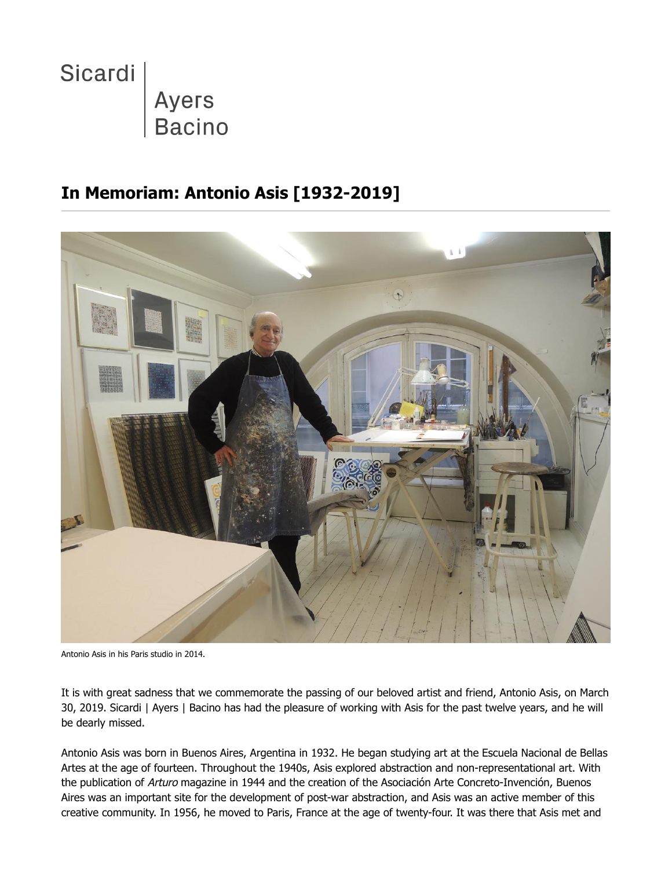

## **In Memoriam: Antonio Asis [1932-2019]**



Antonio Asis in his Paris studio in 2014.

It is with great sadness that we commemorate the passing of our beloved artist and friend, Antonio Asis, on March 30, 2019. Sicardi | Ayers | Bacino has had the pleasure of working with Asis for the past twelve years, and he will be dearly missed.

Antonio Asis was born in Buenos Aires, Argentina in 1932. He began studying art at the Escuela Nacional de Bellas Artes at the age of fourteen. Throughout the 1940s, Asis explored abstraction and non-representational art. With the publication of Arturo magazine in 1944 and the creation of the Asociación Arte Concreto-Invención, Buenos Aires was an important site for the development of post-war abstraction, and Asis was an active member of this creative community. In 1956, he moved to Paris, France at the age of twenty-four. It was there that Asis met and